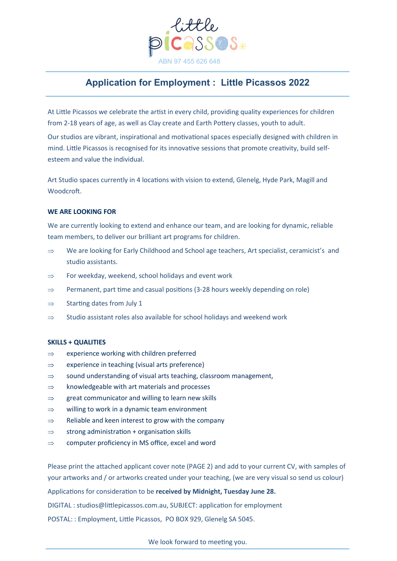

# **Application for Employment : Little Picassos 2022**

At Little Picassos we celebrate the artist in every child, providing quality experiences for children from 2-18 years of age, as well as Clay create and Earth Pottery classes, youth to adult.

Our studios are vibrant, inspirational and motivational spaces especially designed with children in mind. Little Picassos is recognised for its innovative sessions that promote creativity, build selfesteem and value the individual.

Art Studio spaces currently in 4 locations with vision to extend, Glenelg, Hyde Park, Magill and Woodcroft.

### **WE ARE LOOKING FOR**

We are currently looking to extend and enhance our team, and are looking for dynamic, reliable team members, to deliver our brilliant art programs for children.

- $\Rightarrow$  We are looking for Early Childhood and School age teachers, Art specialist, ceramicist's and studio assistants.
- $\Rightarrow$  For weekday, weekend, school holidays and event work
- $\Rightarrow$  Permanent, part time and casual positions (3-28 hours weekly depending on role)
- $\Rightarrow$  Starting dates from July 1
- $\Rightarrow$  Studio assistant roles also available for school holidays and weekend work

#### **SKILLS + QUALITIES**

- $\Rightarrow$  experience working with children preferred
- $\Rightarrow$  experience in teaching (visual arts preference)
- $\Rightarrow$  sound understanding of visual arts teaching, classroom management,
- $\Rightarrow$  knowledgeable with art materials and processes
- $\Rightarrow$  great communicator and willing to learn new skills
- $\Rightarrow$  willing to work in a dynamic team environment
- $\Rightarrow$  Reliable and keen interest to grow with the company
- $\Rightarrow$  strong administration + organisation skills
- $\Rightarrow$  computer proficiency in MS office, excel and word

Please print the attached applicant cover note (PAGE 2) and add to your current CV, with samples of your artworks and / or artworks created under your teaching, (we are very visual so send us colour)

Applications for consideration to be **received by Midnight, Tuesday June 28.**

DIGITAL : studios@littlepicassos.com.au, SUBJECT: application for employment

POSTAL: : Employment, Little Picassos, PO BOX 929, Glenelg SA 5045.